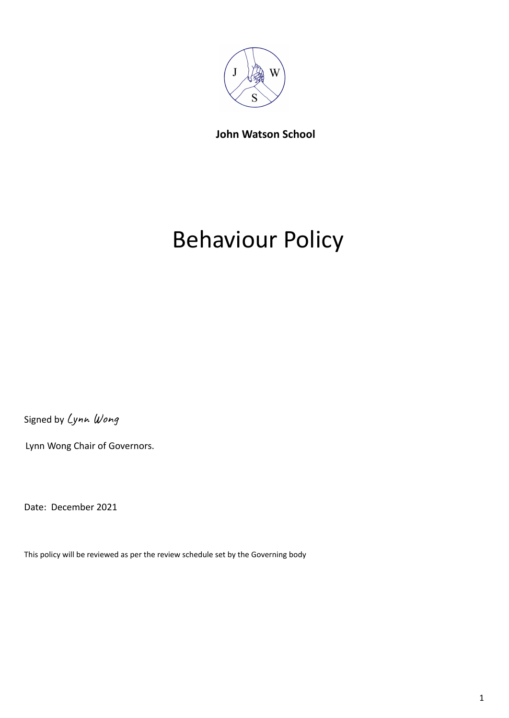

**John Watson School**

# Behaviour Policy

Signed by Lynn Wong

Lynn Wong Chair of Governors.

Date: December 2021

This policy will be reviewed as per the review schedule set by the Governing body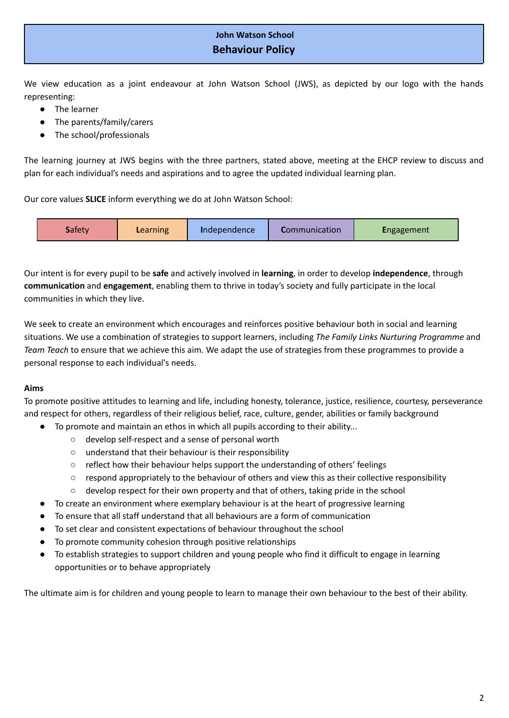# **John Watson School Behaviour Policy**

We view education as a joint endeavour at John Watson School (JWS), as depicted by our logo with the hands representing:

- The learner
- The parents/family/carers
- The school/professionals

The learning journey at JWS begins with the three partners, stated above, meeting at the EHCP review to discuss and plan for each individual's needs and aspirations and to agree the updated individual learning plan.

Our core values **SLICE** inform everything we do at John Watson School:

| <b>Communication</b><br><b>Safety</b><br><b>Engagement</b><br><b>L</b> earning<br>Independence |
|------------------------------------------------------------------------------------------------|
|------------------------------------------------------------------------------------------------|

Our intent is for every pupil to be **safe** and actively involved in **learning**, in order to develop **independence**, through **communication** and **engagement**, enabling them to thrive in today's society and fully participate in the local communities in which they live.

We seek to create an environment which encourages and reinforces positive behaviour both in social and learning situations. We use a combination of strategies to support learners, including *The Family Links Nurturing Programme* and *Team Teach* to ensure that we achieve this aim. We adapt the use of strategies from these programmes to provide a personal response to each individual's needs.

## **Aims**

To promote positive attitudes to learning and life, including honesty, tolerance, justice, resilience, courtesy, perseverance and respect for others, regardless of their religious belief, race, culture, gender, abilities or family background

- To promote and maintain an ethos in which all pupils according to their ability...
	- develop self-respect and a sense of personal worth
	- understand that their behaviour is their responsibility
	- reflect how their behaviour helps support the understanding of others' feelings
	- respond appropriately to the behaviour of others and view this as their collective responsibility
	- $\circ$  develop respect for their own property and that of others, taking pride in the school
- To create an environment where exemplary behaviour is at the heart of progressive learning
- To ensure that all staff understand that all behaviours are a form of communication
- To set clear and consistent expectations of behaviour throughout the school
- To promote community cohesion through positive relationships
- To establish strategies to support children and young people who find it difficult to engage in learning opportunities or to behave appropriately

The ultimate aim is for children and young people to learn to manage their own behaviour to the best of their ability.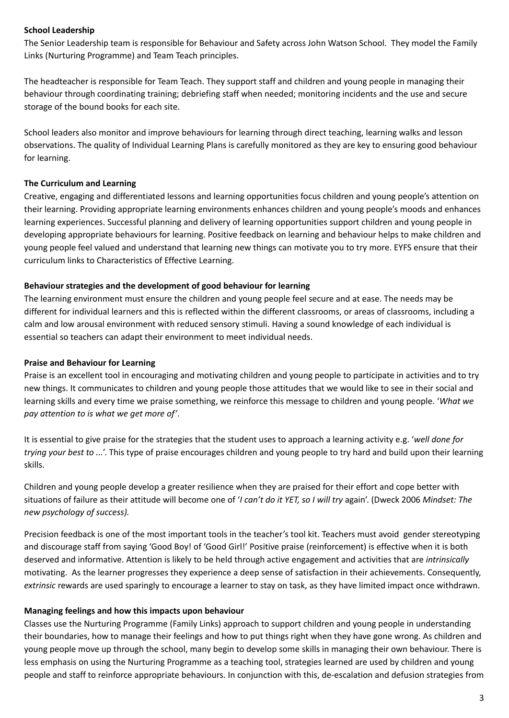## **School Leadership**

The Senior Leadership team is responsible for Behaviour and Safety across John Watson School. They model the Family Links (Nurturing Programme) and Team Teach principles.

The headteacher is responsible for Team Teach. They support staff and children and young people in managing their behaviour through coordinating training; debriefing staff when needed; monitoring incidents and the use and secure storage of the bound books for each site.

School leaders also monitor and improve behaviours for learning through direct teaching, learning walks and lesson observations. The quality of Individual Learning Plans is carefully monitored as they are key to ensuring good behaviour for learning.

#### **The Curriculum and Learning**

Creative, engaging and differentiated lessons and learning opportunities focus children and young people's attention on their learning. Providing appropriate learning environments enhances children and young people's moods and enhances learning experiences. Successful planning and delivery of learning opportunities support children and young people in developing appropriate behaviours for learning. Positive feedback on learning and behaviour helps to make children and young people feel valued and understand that learning new things can motivate you to try more. EYFS ensure that their curriculum links to Characteristics of Effective Learning.

#### **Behaviour strategies and the development of good behaviour for learning**

The learning environment must ensure the children and young people feel secure and at ease. The needs may be different for individual learners and this is reflected within the different classrooms, or areas of classrooms, including a calm and low arousal environment with reduced sensory stimuli. Having a sound knowledge of each individual is essential so teachers can adapt their environment to meet individual needs.

#### **Praise and Behaviour for Learning**

Praise is an excellent tool in encouraging and motivating children and young people to participate in activities and to try new things. It communicates to children and young people those attitudes that we would like to see in their social and learning skills and every time we praise something, we reinforce this message to children and young people. '*What we pay attention to is what we get more of'*.

It is essential to give praise for the strategies that the student uses to approach a learning activity e.g. '*well done for trying your best to ...*'. This type of praise encourages children and young people to try hard and build upon their learning skills.

Children and young people develop a greater resilience when they are praised for their effort and cope better with situations of failure as their attitude will become one of '*I can't do it YET, so I will try* again'. (Dweck 2006 *Mindset: The new psychology of success).*

Precision feedback is one of the most important tools in the teacher's tool kit. Teachers must avoid gender stereotyping and discourage staff from saying 'Good Boy! of 'Good Girl!' Positive praise (reinforcement) is effective when it is both deserved and informative. Attention is likely to be held through active engagement and activities that are *intrinsically* motivating. As the learner progresses they experience a deep sense of satisfaction in their achievements. Consequently, *extrinsic* rewards are used sparingly to encourage a learner to stay on task, as they have limited impact once withdrawn.

#### **Managing feelings and how this impacts upon behaviour**

Classes use the Nurturing Programme (Family Links) approach to support children and young people in understanding their boundaries, how to manage their feelings and how to put things right when they have gone wrong. As children and young people move up through the school, many begin to develop some skills in managing their own behaviour. There is less emphasis on using the Nurturing Programme as a teaching tool, strategies learned are used by children and young people and staff to reinforce appropriate behaviours. In conjunction with this, de-escalation and defusion strategies from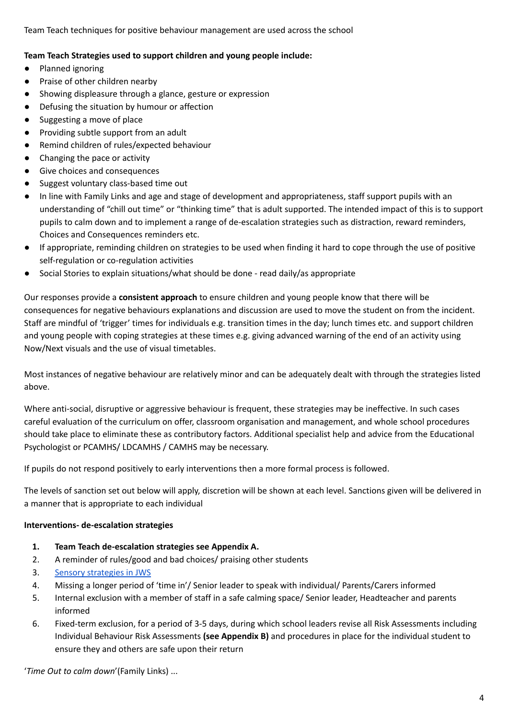Team Teach techniques for positive behaviour management are used across the school

## **Team Teach Strategies used to support children and young people include:**

- Planned ignoring
- Praise of other children nearby
- Showing displeasure through a glance, gesture or expression
- Defusing the situation by humour or affection
- Suggesting a move of place
- Providing subtle support from an adult
- Remind children of rules/expected behaviour
- Changing the pace or activity
- Give choices and consequences
- Suggest voluntary class-based time out
- In line with Family Links and age and stage of development and appropriateness, staff support pupils with an understanding of "chill out time" or "thinking time" that is adult supported. The intended impact of this is to support pupils to calm down and to implement a range of de-escalation strategies such as distraction, reward reminders, Choices and Consequences reminders etc.
- If appropriate, reminding children on strategies to be used when finding it hard to cope through the use of positive self-regulation or co-regulation activities
- Social Stories to explain situations/what should be done read daily/as appropriate

Our responses provide a **consistent approach** to ensure children and young people know that there will be consequences for negative behaviours explanations and discussion are used to move the student on from the incident. Staff are mindful of 'trigger' times for individuals e.g. transition times in the day; lunch times etc. and support children and young people with coping strategies at these times e.g. giving advanced warning of the end of an activity using Now/Next visuals and the use of visual timetables.

Most instances of negative behaviour are relatively minor and can be adequately dealt with through the strategies listed above.

Where anti-social, disruptive or aggressive behaviour is frequent, these strategies may be ineffective. In such cases careful evaluation of the curriculum on offer, classroom organisation and management, and whole school procedures should take place to eliminate these as contributory factors. Additional specialist help and advice from the Educational Psychologist or PCAMHS/ LDCAMHS / CAMHS may be necessary.

If pupils do not respond positively to early interventions then a more formal process is followed.

The levels of sanction set out below will apply, discretion will be shown at each level. Sanctions given will be delivered in a manner that is appropriate to each individual

#### **Interventions- de-escalation strategies**

- **1. Team Teach de-escalation strategies see Appendix A.**
- 2. A reminder of rules/good and bad choices/ praising other students
- 3. Sensory [strategies](https://docs.google.com/document/d/1byZr0Y9v0-EThhVICL-9xiBqZwtXxVv70e15A7piriY/edit) in JWS
- 4. Missing a longer period of 'time in'/ Senior leader to speak with individual/ Parents/Carers informed
- 5. Internal exclusion with a member of staff in a safe calming space/ Senior leader, Headteacher and parents informed
- 6. Fixed-term exclusion, for a period of 3-5 days, during which school leaders revise all Risk Assessments including Individual Behaviour Risk Assessments **(see Appendix B)** and procedures in place for the individual student to ensure they and others are safe upon their return

'*Time Out to calm down*'(Family Links) ...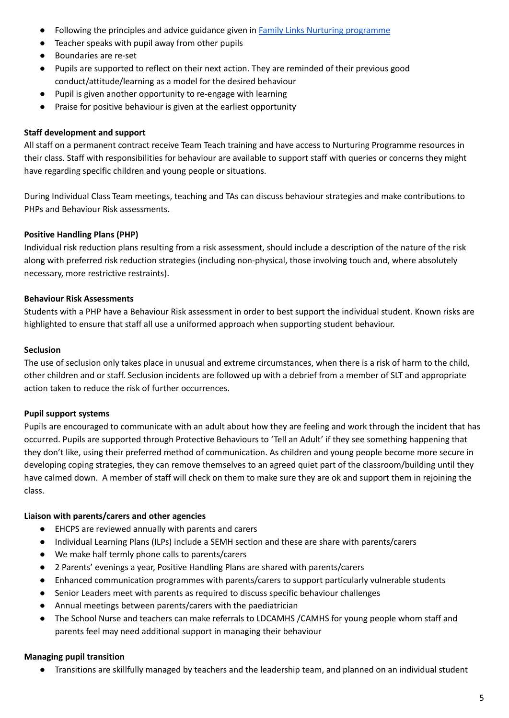- Following the principles and advice guidance given in Family Links Nurturing [programme](https://www.familylinks.org.uk/)
- Teacher speaks with pupil away from other pupils
- Boundaries are re-set
- Pupils are supported to reflect on their next action. They are reminded of their previous good conduct/attitude/learning as a model for the desired behaviour
- Pupil is given another opportunity to re-engage with learning
- Praise for positive behaviour is given at the earliest opportunity

## **Staff development and support**

All staff on a permanent contract receive Team Teach training and have access to Nurturing Programme resources in their class. Staff with responsibilities for behaviour are available to support staff with queries or concerns they might have regarding specific children and young people or situations.

During Individual Class Team meetings, teaching and TAs can discuss behaviour strategies and make contributions to PHPs and Behaviour Risk assessments.

## **Positive Handling Plans (PHP)**

Individual risk reduction plans resulting from a risk assessment, should include a description of the nature of the risk along with preferred risk reduction strategies (including non-physical, those involving touch and, where absolutely necessary, more restrictive restraints).

## **Behaviour Risk Assessments**

Students with a PHP have a Behaviour Risk assessment in order to best support the individual student. Known risks are highlighted to ensure that staff all use a uniformed approach when supporting student behaviour.

## **Seclusion**

The use of seclusion only takes place in unusual and extreme circumstances, when there is a risk of harm to the child, other children and or staff. Seclusion incidents are followed up with a debrief from a member of SLT and appropriate action taken to reduce the risk of further occurrences.

## **Pupil support systems**

Pupils are encouraged to communicate with an adult about how they are feeling and work through the incident that has occurred. Pupils are supported through Protective Behaviours to 'Tell an Adult' if they see something happening that they don't like, using their preferred method of communication. As children and young people become more secure in developing coping strategies, they can remove themselves to an agreed quiet part of the classroom/building until they have calmed down. A member of staff will check on them to make sure they are ok and support them in rejoining the class.

## **Liaison with parents/carers and other agencies**

- EHCPS are reviewed annually with parents and carers
- Individual Learning Plans (ILPs) include a SEMH section and these are share with parents/carers
- We make half termly phone calls to parents/carers
- 2 Parents' evenings a year, Positive Handling Plans are shared with parents/carers
- Enhanced communication programmes with parents/carers to support particularly vulnerable students
- Senior Leaders meet with parents as required to discuss specific behaviour challenges
- Annual meetings between parents/carers with the paediatrician
- The School Nurse and teachers can make referrals to LDCAMHS /CAMHS for young people whom staff and parents feel may need additional support in managing their behaviour

#### **Managing pupil transition**

● Transitions are skillfully managed by teachers and the leadership team, and planned on an individual student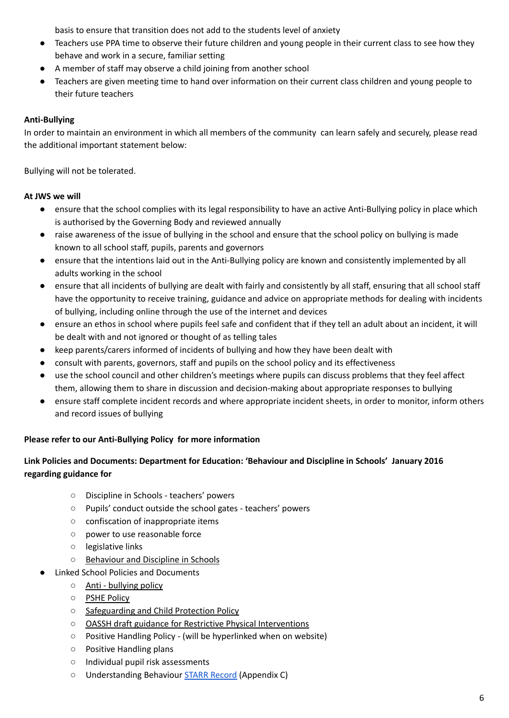basis to ensure that transition does not add to the students level of anxiety

- Teachers use PPA time to observe their future children and young people in their current class to see how they behave and work in a secure, familiar setting
- A member of staff may observe a child joining from another school
- Teachers are given meeting time to hand over information on their current class children and young people to their future teachers

## **Anti-Bullying**

In order to maintain an environment in which all members of the community can learn safely and securely, please read the additional important statement below:

Bullying will not be tolerated.

## **At JWS we will**

- ensure that the school complies with its legal responsibility to have an active Anti-Bullying policy in place which is authorised by the Governing Body and reviewed annually
- raise awareness of the issue of bullying in the school and ensure that the school policy on bullying is made known to all school staff, pupils, parents and governors
- ensure that the intentions laid out in the Anti-Bullying policy are known and consistently implemented by all adults working in the school
- ensure that all incidents of bullying are dealt with fairly and consistently by all staff, ensuring that all school staff have the opportunity to receive training, guidance and advice on appropriate methods for dealing with incidents of bullying, including online through the use of the internet and devices
- ensure an ethos in school where pupils feel safe and confident that if they tell an adult about an incident, it will be dealt with and not ignored or thought of as telling tales
- keep parents/carers informed of incidents of bullying and how they have been dealt with
- consult with parents, governors, staff and pupils on the school policy and its effectiveness
- use the school council and other children's meetings where pupils can discuss problems that they feel affect them, allowing them to share in discussion and decision-making about appropriate responses to bullying
- ensure staff complete incident records and where appropriate incident sheets, in order to monitor, inform others and record issues of bullying

## **Please refer to our Anti-Bullying Policy for more information**

## **Link Policies and Documents: Department for Education: 'Behaviour and Discipline in Schools' January 2016 regarding guidance for**

- Discipline in Schools teachers' powers
- Pupils' conduct outside the school gates teachers' powers
- confiscation of inappropriate items
- power to use reasonable force
- legislative links
- [Behaviour](https://www.gov.uk/government/uploads/system/uploads/attachment_data/file/353921/Behaviour_and_Discipline_in_Schools_-_A_guide_for_headteachers_and_school_staff.pdf) and Discipline in Schools
- **Linked School Policies and Documents** 
	- Anti [bullying](http://www.johnwatsonschool.org/governance/policies/antibullying-policy/) policy
	- PSHE [Policy](http://www.johnwatsonschool.org/governance/policies/psche-policy/)
	- [Safeguarding](http://www.johnwatsonschool.org/governance/policies/safeguarding-policy/) and Child Protection Policy
	- OASSH draft guidance for Restrictive Physical [Interventions](https://docs.google.com/a/johnwatsonschool.org/document/d/19r2wXd30AYs6I1q2opuZrKNU_qREnSSI01YaXBytgAU/edit)
	- Positive Handling Policy (will be hyperlinked when on website)
	- Positive Handling plans
	- Individual pupil risk assessments
	- **○** Understanding Behaviour STARR [Record](https://docs.google.com/document/d/1VFBk-0uQ6AoA18haBlKDD5y7iudwtS9M/edit?usp=sharing&ouid=116862297928290995120&rtpof=true&sd=true) (Appendix C)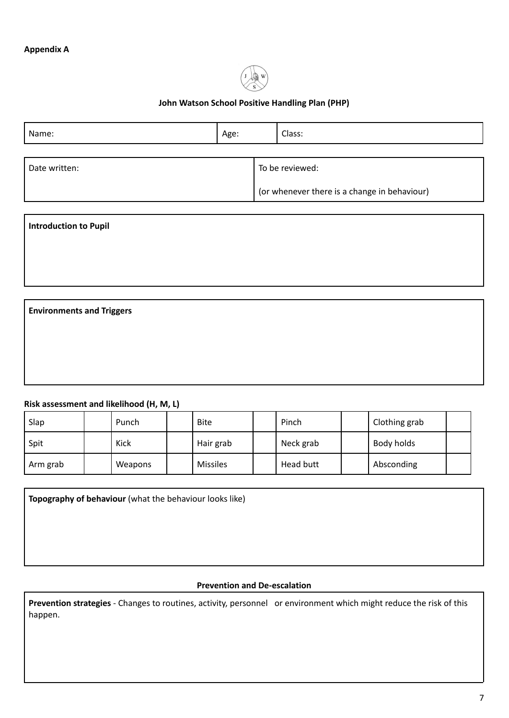

## **John Watson School Positive Handling Plan (PHP)**

| Name:         | Age: | Class:          |                                              |  |
|---------------|------|-----------------|----------------------------------------------|--|
|               |      |                 |                                              |  |
| Date written: |      | To be reviewed: |                                              |  |
|               |      |                 | (or whenever there is a change in behaviour) |  |

| <b>Introduction to Pupil</b>     |  |
|----------------------------------|--|
|                                  |  |
|                                  |  |
|                                  |  |
| <b>Environments and Triggers</b> |  |

## **Risk assessment and likelihood (H, M, L)**

| Slap     | Punch   | <b>Bite</b>     | Pinch     | Clothing grab |  |
|----------|---------|-----------------|-----------|---------------|--|
| Spit     | Kick    | Hair grab       | Neck grab | Body holds    |  |
| Arm grab | Weapons | <b>Missiles</b> | Head butt | Absconding    |  |

**Topography of behaviour** (what the behaviour looks like)

## **Prevention and De-escalation**

**Prevention strategies** - Changes to routines, activity, personnel or environment which might reduce the risk of this happen.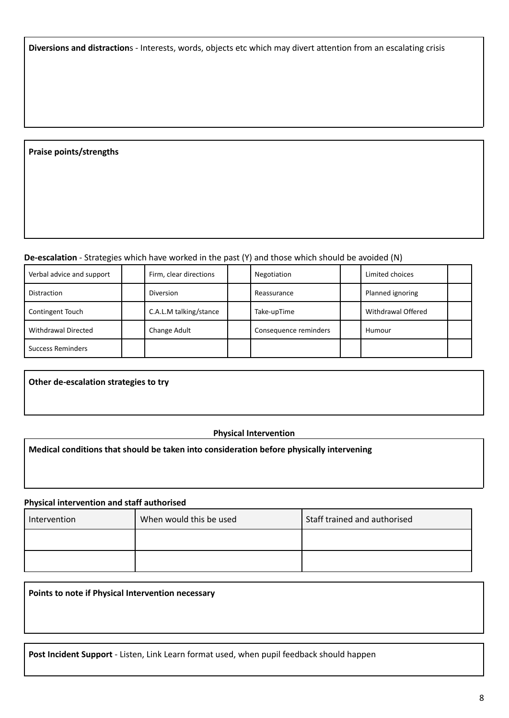**Diversions and distraction**s - Interests, words, objects etc which may divert attention from an escalating crisis

### **Praise points/strengths**

### **De-escalation** - Strategies which have worked in the past (Y) and those which should be avoided (N)

| Verbal advice and support  | Firm, clear directions | Negotiation           | Limited choices    |  |
|----------------------------|------------------------|-----------------------|--------------------|--|
| <b>Distraction</b>         | <b>Diversion</b>       | Reassurance           | Planned ignoring   |  |
| Contingent Touch           | C.A.L.M talking/stance | Take-upTime           | Withdrawal Offered |  |
| <b>Withdrawal Directed</b> | Change Adult           | Consequence reminders | Humour             |  |
| <b>Success Reminders</b>   |                        |                       |                    |  |

**Other de-escalation strategies to try**

#### **Physical Intervention**

#### **Medical conditions that should be taken into consideration before physically intervening**

#### **Physical intervention and staff authorised**

| Intervention | When would this be used | Staff trained and authorised |
|--------------|-------------------------|------------------------------|
|              |                         |                              |
|              |                         |                              |

**Points to note if Physical Intervention necessary**

**Post Incident Support** - Listen, Link Learn format used, when pupil feedback should happen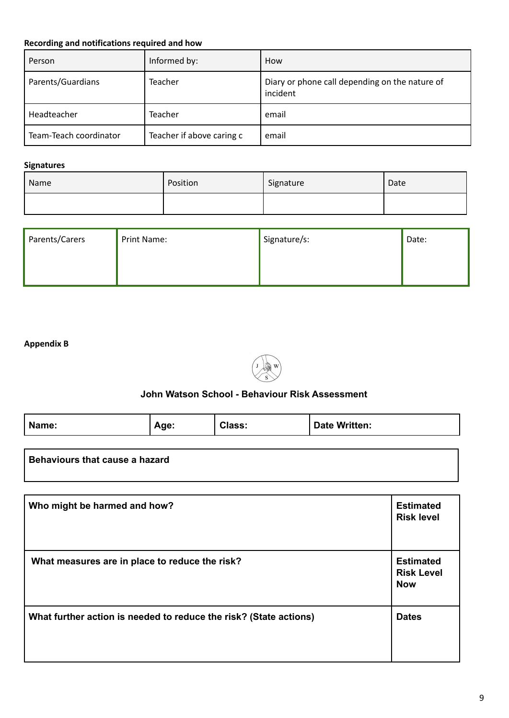# **Recording and notifications required and how**

| Person                 | Informed by:              | How                                                        |
|------------------------|---------------------------|------------------------------------------------------------|
| Parents/Guardians      | Teacher                   | Diary or phone call depending on the nature of<br>incident |
| Headteacher            | Teacher                   | email                                                      |
| Team-Teach coordinator | Teacher if above caring c | email                                                      |

# **Signatures**

| Name | Position | Signature | Date |
|------|----------|-----------|------|
|      |          |           |      |

| Parents/Carers | Print Name: | Signature/s: | Date: |
|----------------|-------------|--------------|-------|
|                |             |              |       |
|                |             |              |       |

## **Appendix B**



## **John Watson School - Behaviour Risk Assessment**

| Name:                          | Age: | Class: | <b>Date Written:</b> |
|--------------------------------|------|--------|----------------------|
|                                |      |        |                      |
| Behaviours that cause a hazard |      |        |                      |

| Who might be harmed and how?                                      | <b>Estimated</b><br><b>Risk level</b>               |
|-------------------------------------------------------------------|-----------------------------------------------------|
| What measures are in place to reduce the risk?                    | <b>Estimated</b><br><b>Risk Level</b><br><b>Now</b> |
| What further action is needed to reduce the risk? (State actions) | <b>Dates</b>                                        |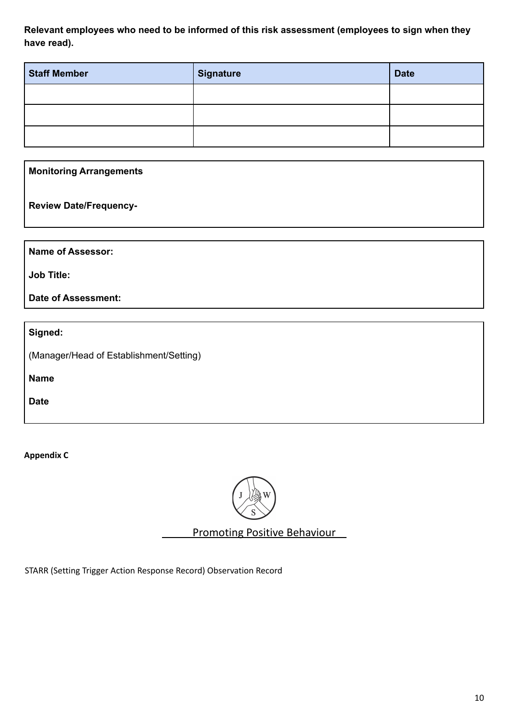**Relevant employees who need to be informed of this risk assessment (employees to sign when they have read).**

| Staff Member | Signature | <b>Date</b> |
|--------------|-----------|-------------|
|              |           |             |
|              |           |             |
|              |           |             |

**Monitoring Arrangements**

**Review Date/Frequency-**

**Name of Assessor:**

**Job Title:**

**Date of Assessment:**

**Signed:**

(Manager/Head of Establishment/Setting)

**Name**

**Date**

**Appendix C**



Promoting Positive Behaviour

STARR (Setting Trigger Action Response Record) Observation Record